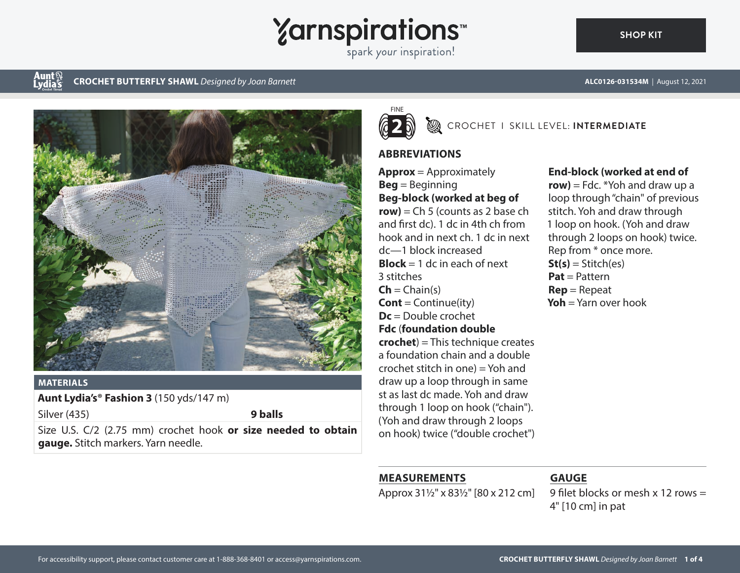

spark your inspiration!

### Aunt§<br>Lydias **CROCHET BUTTERFLY SHAWL** *Designed by Joan Barnett* **ALC0126-031534M** | August 12, 2021



## **MATERIALS**

**Aunt Lydia's® Fashion 3** (150 yds/147 m)

Silver (435) **9 balls**

Size U.S. C/2 (2.75 mm) crochet hook **or size needed to obtain gauge.** Stitch markers. Yarn needle.



CROCHET I SKILL LEVEL: **INTERMEDIATE**

# **ABBREVIATIONS**

**Approx** = Approximately **Beg** = Beginning **Beg-block (worked at beg of row)** = Ch 5 (counts as 2 base ch and first dc). 1 dc in 4th ch from hook and in next ch. 1 dc in next dc—1 block increased **Block** = 1 dc in each of next 3 stitches  $Ch = Chain(s)$ **Cont** = Continue(ity) **Dc** = Double crochet **Fdc** (**foundation double crochet**) = This technique creates a foundation chain and a double  $c$ rochet stitch in one) = Yoh and draw up a loop through in same st as last dc made. Yoh and draw through 1 loop on hook ("chain"). (Yoh and draw through 2 loops on hook) twice ("double crochet") **End-block (worked at end of row)** = Fdc. \*Yoh and draw up a loop through "chain" of previous stitch. Yoh and draw through 1 loop on hook. (Yoh and draw through 2 loops on hook) twice. Rep from \* once more.  $St(s) = Stitch(es)$ **Pat** = Pattern **Rep** = Repeat **Yoh** = Yarn over hook

# **MEASUREMENTS**

Approx 31½" x 83½" [80 x 212 cm]

# **GAUGE**

9 filet blocks or mesh x 12 rows = 4" [10 cm] in pat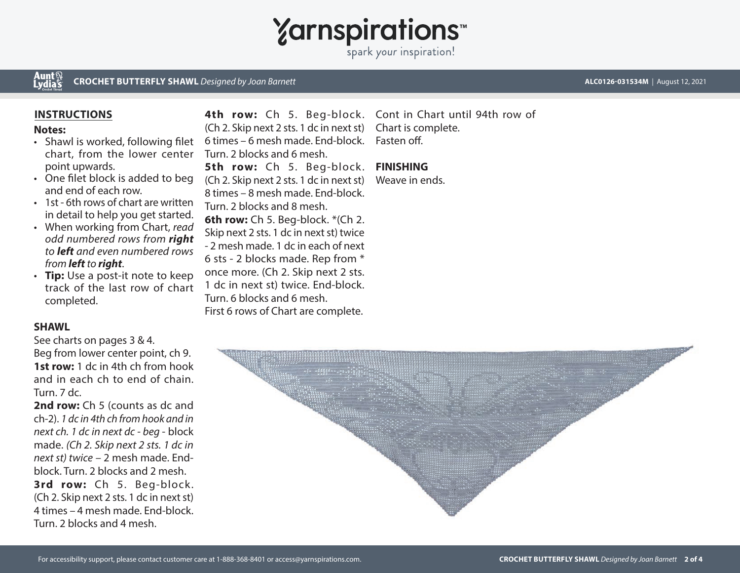# **Yarnspirations**

spark your inspiration!

## Aunt<br>Lydia's **CROCHET BUTTERFLY SHAWL** *Designed by Joan Barnett* **ALC0126-031534M** | August 12, 2021

# **INSTRUCTIONS**

# **Notes:**

- Shawl is worked, following filet chart, from the lower center point upwards.
- One filet block is added to beg and end of each row.
- 1st 6th rows of chart are written in detail to help you get started.
- When working from Chart, *read odd numbered rows from right to left and even numbered rows from left to right*.
- **Tip:** Use a post-it note to keep track of the last row of chart completed.

# **SHAWL**

See charts on pages 3 & 4. Beg from lower center point, ch 9. **1st row:** 1 dc in 4th ch from hook and in each ch to end of chain. Turn. 7 dc.

**2nd row:** Ch 5 (counts as dc and ch-2). *1 dc in 4th ch from hook and in next ch. 1 dc in next dc - beg* - block made. *(Ch 2. Skip next 2 sts. 1 dc in next st) twice –* 2 mesh made. Endblock. Turn. 2 blocks and 2 mesh. **3rd row:** Ch 5. Beg-block. (Ch 2. Skip next 2 sts. 1 dc in next st) 4 times *–* 4 mesh made. End-block. Turn. 2 blocks and 4 mesh.

(Ch 2. Skip next 2 sts. 1 dc in next st) 6 times – 6 mesh made. End-block. Fasten off. Turn. 2 blocks and 6 mesh. **5th row:** Ch 5. Beg-block. **FINISHING** (Ch 2. Skip next 2 sts. 1 dc in next st) 8 times *–* 8 mesh made. End-block. Turn. 2 blocks and 8 mesh. **6th row:** Ch 5. Beg-block. \*(Ch 2. Skip next 2 sts. 1 dc in next st) twice - 2 mesh made. 1 dc in each of next 6 sts - 2 blocks made. Rep from \* once more. (Ch 2. Skip next 2 sts. 1 dc in next st) twice. End-block. Turn. 6 blocks and 6 mesh. First 6 rows of Chart are complete.

4th row: Ch 5. Beg-block. Cont in Chart until 94th row of Chart is complete.

Weave in ends.

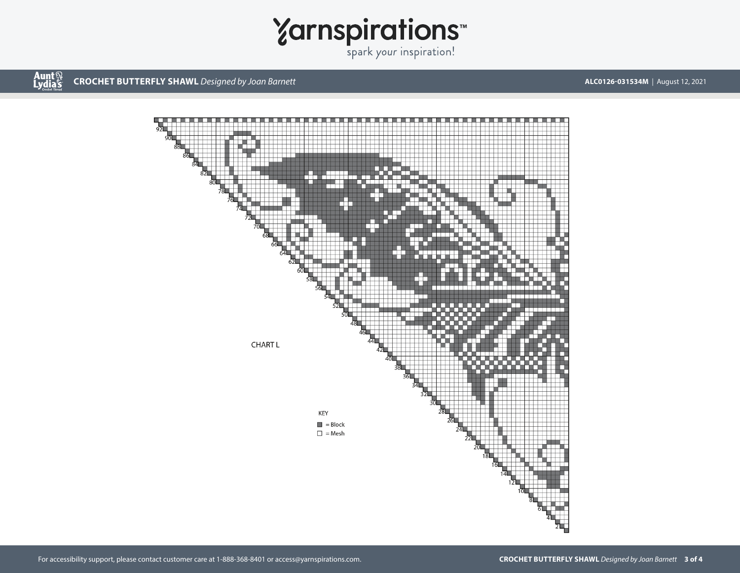